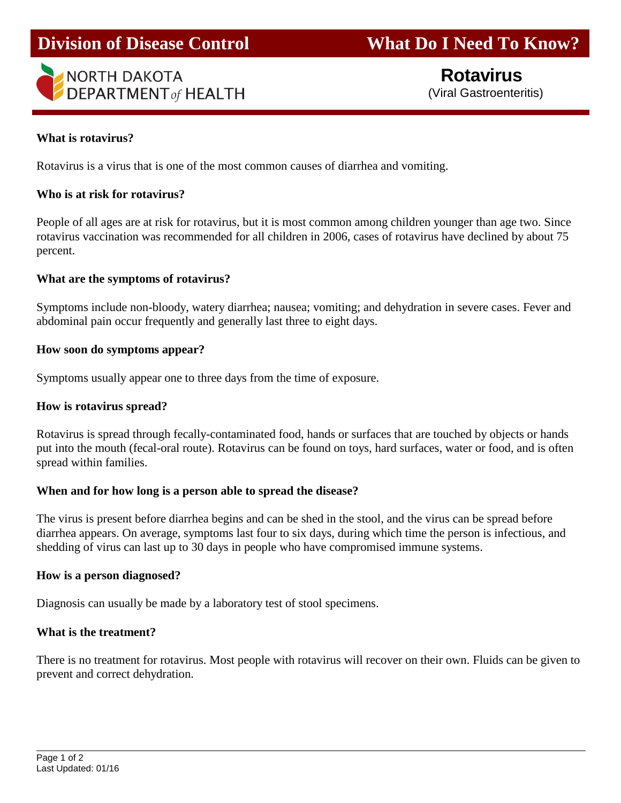# **Division of Disease Control What Do I Need To Know?**



 **Rotavirus** (Viral Gastroenteritis)

### **What is rotavirus?**

Rotavirus is a virus that is one of the most common causes of diarrhea and vomiting.

#### **Who is at risk for rotavirus?**

People of all ages are at risk for rotavirus, but it is most common among children younger than age two. Since rotavirus vaccination was recommended for all children in 2006, cases of rotavirus have declined by about 75 percent.

#### **What are the symptoms of rotavirus?**

Symptoms include non-bloody, watery diarrhea; nausea; vomiting; and dehydration in severe cases. Fever and abdominal pain occur frequently and generally last three to eight days.

#### **How soon do symptoms appear?**

Symptoms usually appear one to three days from the time of exposure.

#### **How is rotavirus spread?**

Rotavirus is spread through fecally-contaminated food, hands or surfaces that are touched by objects or hands put into the mouth (fecal-oral route). Rotavirus can be found on toys, hard surfaces, water or food, and is often spread within families.

#### **When and for how long is a person able to spread the disease?**

The virus is present before diarrhea begins and can be shed in the stool, and the virus can be spread before diarrhea appears. On average, symptoms last four to six days, during which time the person is infectious, and shedding of virus can last up to 30 days in people who have compromised immune systems.

#### **How is a person diagnosed?**

Diagnosis can usually be made by a laboratory test of stool specimens.

#### **What is the treatment?**

There is no treatment for rotavirus. Most people with rotavirus will recover on their own. Fluids can be given to prevent and correct dehydration.